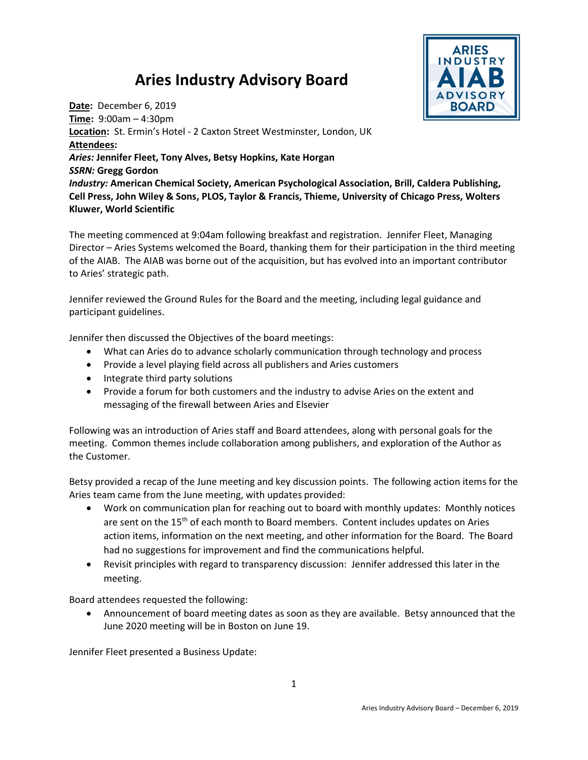## Aries Industry Advisory Board



Date: December 6, 2019 Time: 9:00am – 4:30pm Location: St. Ermin's Hotel - 2 Caxton Street Westminster, London, UK Attendees: Aries: Jennifer Fleet, Tony Alves, Betsy Hopkins, Kate Horgan SSRN: Gregg Gordon Industry: American Chemical Society, American Psychological Association, Brill, Caldera Publishing, Cell Press, John Wiley & Sons, PLOS, Taylor & Francis, Thieme, University of Chicago Press, Wolters Kluwer, World Scientific

The meeting commenced at 9:04am following breakfast and registration. Jennifer Fleet, Managing Director – Aries Systems welcomed the Board, thanking them for their participation in the third meeting of the AIAB. The AIAB was borne out of the acquisition, but has evolved into an important contributor to Aries' strategic path.

Jennifer reviewed the Ground Rules for the Board and the meeting, including legal guidance and participant guidelines.

Jennifer then discussed the Objectives of the board meetings:

- What can Aries do to advance scholarly communication through technology and process
- Provide a level playing field across all publishers and Aries customers
- Integrate third party solutions
- Provide a forum for both customers and the industry to advise Aries on the extent and messaging of the firewall between Aries and Elsevier

Following was an introduction of Aries staff and Board attendees, along with personal goals for the meeting. Common themes include collaboration among publishers, and exploration of the Author as the Customer.

Betsy provided a recap of the June meeting and key discussion points. The following action items for the Aries team came from the June meeting, with updates provided:

- Work on communication plan for reaching out to board with monthly updates: Monthly notices are sent on the 15<sup>th</sup> of each month to Board members. Content includes updates on Aries action items, information on the next meeting, and other information for the Board. The Board had no suggestions for improvement and find the communications helpful.
- Revisit principles with regard to transparency discussion: Jennifer addressed this later in the meeting.

Board attendees requested the following:

 Announcement of board meeting dates as soon as they are available. Betsy announced that the June 2020 meeting will be in Boston on June 19.

Jennifer Fleet presented a Business Update: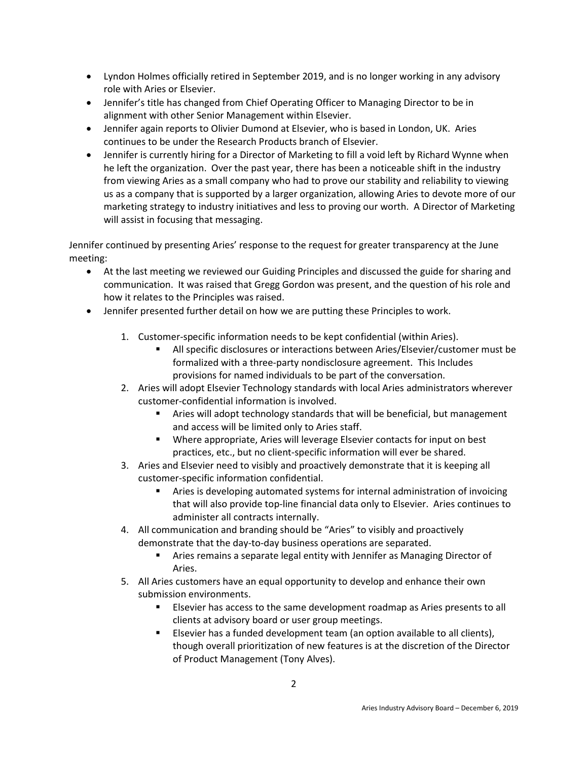- Lyndon Holmes officially retired in September 2019, and is no longer working in any advisory role with Aries or Elsevier.
- Jennifer's title has changed from Chief Operating Officer to Managing Director to be in alignment with other Senior Management within Elsevier.
- Jennifer again reports to Olivier Dumond at Elsevier, who is based in London, UK. Aries continues to be under the Research Products branch of Elsevier.
- Jennifer is currently hiring for a Director of Marketing to fill a void left by Richard Wynne when he left the organization. Over the past year, there has been a noticeable shift in the industry from viewing Aries as a small company who had to prove our stability and reliability to viewing us as a company that is supported by a larger organization, allowing Aries to devote more of our marketing strategy to industry initiatives and less to proving our worth. A Director of Marketing will assist in focusing that messaging.

Jennifer continued by presenting Aries' response to the request for greater transparency at the June meeting:

- At the last meeting we reviewed our Guiding Principles and discussed the guide for sharing and communication. It was raised that Gregg Gordon was present, and the question of his role and how it relates to the Principles was raised.
- Jennifer presented further detail on how we are putting these Principles to work.
	- 1. Customer-specific information needs to be kept confidential (within Aries).
		- All specific disclosures or interactions between Aries/Elsevier/customer must be formalized with a three-party nondisclosure agreement. This Includes provisions for named individuals to be part of the conversation.
	- 2. Aries will adopt Elsevier Technology standards with local Aries administrators wherever customer-confidential information is involved.
		- Aries will adopt technology standards that will be beneficial, but management and access will be limited only to Aries staff.
		- Where appropriate, Aries will leverage Elsevier contacts for input on best practices, etc., but no client-specific information will ever be shared.
	- 3. Aries and Elsevier need to visibly and proactively demonstrate that it is keeping all customer-specific information confidential.
		- **EXTER 15 Aries is developing automated systems for internal administration of invoicing** that will also provide top-line financial data only to Elsevier. Aries continues to administer all contracts internally.
	- 4. All communication and branding should be "Aries" to visibly and proactively demonstrate that the day-to-day business operations are separated.
		- Aries remains a separate legal entity with Jennifer as Managing Director of Aries.
	- 5. All Aries customers have an equal opportunity to develop and enhance their own submission environments.
		- Elsevier has access to the same development roadmap as Aries presents to all clients at advisory board or user group meetings.
		- Elsevier has a funded development team (an option available to all clients), though overall prioritization of new features is at the discretion of the Director of Product Management (Tony Alves).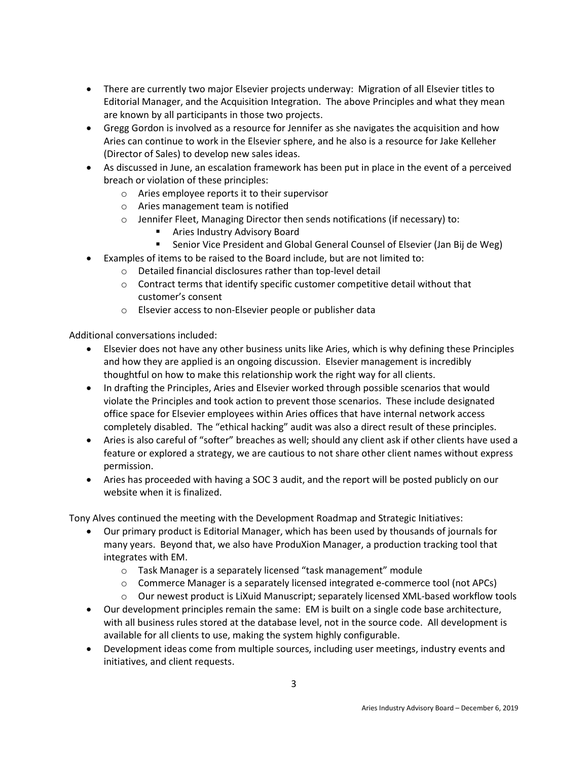- There are currently two major Elsevier projects underway: Migration of all Elsevier titles to Editorial Manager, and the Acquisition Integration. The above Principles and what they mean are known by all participants in those two projects.
- Gregg Gordon is involved as a resource for Jennifer as she navigates the acquisition and how Aries can continue to work in the Elsevier sphere, and he also is a resource for Jake Kelleher (Director of Sales) to develop new sales ideas.
- As discussed in June, an escalation framework has been put in place in the event of a perceived breach or violation of these principles:
	- o Aries employee reports it to their supervisor
	- o Aries management team is notified
	- $\circ$  Jennifer Fleet, Managing Director then sends notifications (if necessary) to:
		- Aries Industry Advisory Board
		- Senior Vice President and Global General Counsel of Elsevier (Jan Bij de Weg)
- Examples of items to be raised to the Board include, but are not limited to:
	- o Detailed financial disclosures rather than top-level detail
	- $\circ$  Contract terms that identify specific customer competitive detail without that customer's consent
	- o Elsevier access to non-Elsevier people or publisher data

Additional conversations included:

- Elsevier does not have any other business units like Aries, which is why defining these Principles and how they are applied is an ongoing discussion. Elsevier management is incredibly thoughtful on how to make this relationship work the right way for all clients.
- In drafting the Principles, Aries and Elsevier worked through possible scenarios that would violate the Principles and took action to prevent those scenarios. These include designated office space for Elsevier employees within Aries offices that have internal network access completely disabled. The "ethical hacking" audit was also a direct result of these principles.
- Aries is also careful of "softer" breaches as well; should any client ask if other clients have used a feature or explored a strategy, we are cautious to not share other client names without express permission.
- Aries has proceeded with having a SOC 3 audit, and the report will be posted publicly on our website when it is finalized.

Tony Alves continued the meeting with the Development Roadmap and Strategic Initiatives:

- Our primary product is Editorial Manager, which has been used by thousands of journals for many years. Beyond that, we also have ProduXion Manager, a production tracking tool that integrates with EM.
	- o Task Manager is a separately licensed "task management" module
	- o Commerce Manager is a separately licensed integrated e-commerce tool (not APCs)
	- o Our newest product is LiXuid Manuscript; separately licensed XML-based workflow tools
- Our development principles remain the same: EM is built on a single code base architecture, with all business rules stored at the database level, not in the source code. All development is available for all clients to use, making the system highly configurable.
- Development ideas come from multiple sources, including user meetings, industry events and initiatives, and client requests.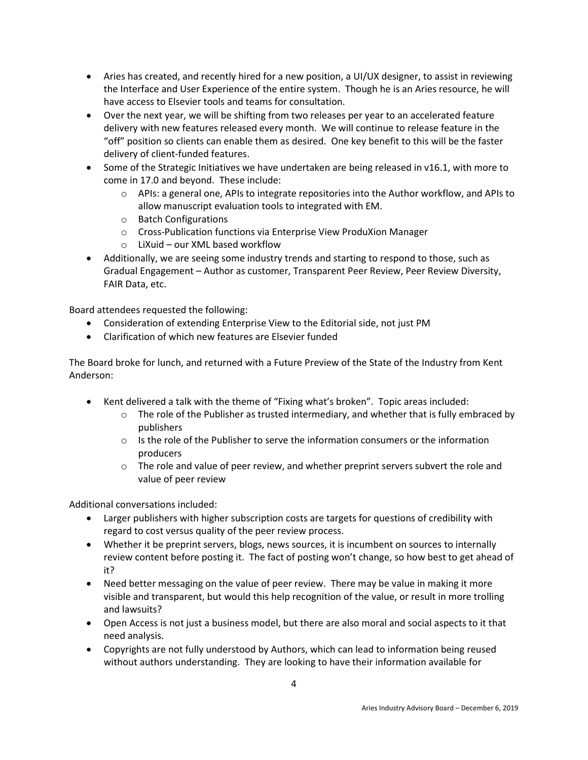- Aries has created, and recently hired for a new position, a UI/UX designer, to assist in reviewing the Interface and User Experience of the entire system. Though he is an Aries resource, he will have access to Elsevier tools and teams for consultation.
- Over the next year, we will be shifting from two releases per year to an accelerated feature delivery with new features released every month. We will continue to release feature in the "off" position so clients can enable them as desired. One key benefit to this will be the faster delivery of client-funded features.
- $\bullet$  Some of the Strategic Initiatives we have undertaken are being released in v16.1, with more to come in 17.0 and beyond. These include:
	- o APIs: a general one, APIs to integrate repositories into the Author workflow, and APIs to allow manuscript evaluation tools to integrated with EM.
	- o Batch Configurations
	- o Cross-Publication functions via Enterprise View ProduXion Manager
	- o LiXuid our XML based workflow
- Additionally, we are seeing some industry trends and starting to respond to those, such as Gradual Engagement – Author as customer, Transparent Peer Review, Peer Review Diversity, FAIR Data, etc.

Board attendees requested the following:

- Consideration of extending Enterprise View to the Editorial side, not just PM
- Clarification of which new features are Elsevier funded

The Board broke for lunch, and returned with a Future Preview of the State of the Industry from Kent Anderson:

- Kent delivered a talk with the theme of "Fixing what's broken". Topic areas included:
	- $\circ$  The role of the Publisher as trusted intermediary, and whether that is fully embraced by publishers
	- $\circ$  Is the role of the Publisher to serve the information consumers or the information producers
	- $\circ$  The role and value of peer review, and whether preprint servers subvert the role and value of peer review

Additional conversations included:

- Larger publishers with higher subscription costs are targets for questions of credibility with regard to cost versus quality of the peer review process.
- Whether it be preprint servers, blogs, news sources, it is incumbent on sources to internally review content before posting it. The fact of posting won't change, so how best to get ahead of it?
- Need better messaging on the value of peer review. There may be value in making it more visible and transparent, but would this help recognition of the value, or result in more trolling and lawsuits?
- Open Access is not just a business model, but there are also moral and social aspects to it that need analysis.
- Copyrights are not fully understood by Authors, which can lead to information being reused without authors understanding. They are looking to have their information available for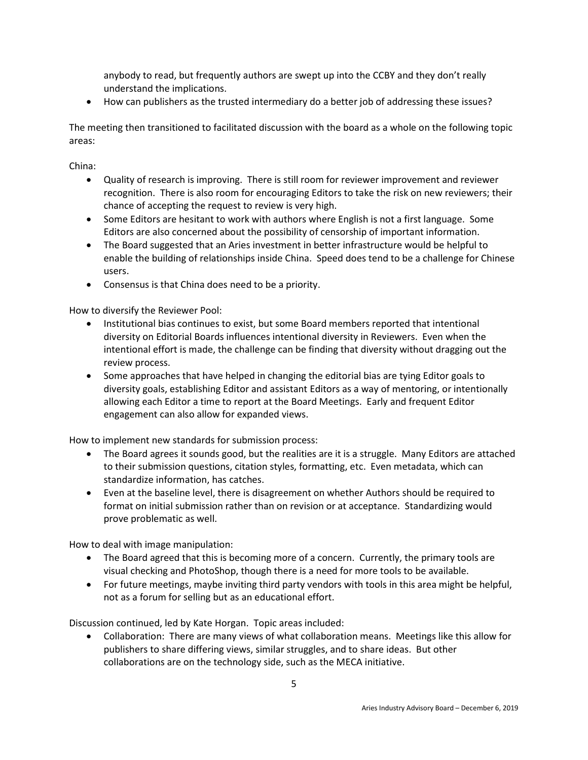anybody to read, but frequently authors are swept up into the CCBY and they don't really understand the implications.

How can publishers as the trusted intermediary do a better job of addressing these issues?

The meeting then transitioned to facilitated discussion with the board as a whole on the following topic areas:

China:

- Quality of research is improving. There is still room for reviewer improvement and reviewer recognition. There is also room for encouraging Editors to take the risk on new reviewers; their chance of accepting the request to review is very high.
- Some Editors are hesitant to work with authors where English is not a first language. Some Editors are also concerned about the possibility of censorship of important information.
- The Board suggested that an Aries investment in better infrastructure would be helpful to enable the building of relationships inside China. Speed does tend to be a challenge for Chinese users.
- Consensus is that China does need to be a priority.

How to diversify the Reviewer Pool:

- Institutional bias continues to exist, but some Board members reported that intentional diversity on Editorial Boards influences intentional diversity in Reviewers. Even when the intentional effort is made, the challenge can be finding that diversity without dragging out the review process.
- Some approaches that have helped in changing the editorial bias are tying Editor goals to diversity goals, establishing Editor and assistant Editors as a way of mentoring, or intentionally allowing each Editor a time to report at the Board Meetings. Early and frequent Editor engagement can also allow for expanded views.

How to implement new standards for submission process:

- The Board agrees it sounds good, but the realities are it is a struggle. Many Editors are attached to their submission questions, citation styles, formatting, etc. Even metadata, which can standardize information, has catches.
- Even at the baseline level, there is disagreement on whether Authors should be required to format on initial submission rather than on revision or at acceptance. Standardizing would prove problematic as well.

How to deal with image manipulation:

- The Board agreed that this is becoming more of a concern. Currently, the primary tools are visual checking and PhotoShop, though there is a need for more tools to be available.
- For future meetings, maybe inviting third party vendors with tools in this area might be helpful, not as a forum for selling but as an educational effort.

Discussion continued, led by Kate Horgan. Topic areas included:

 Collaboration: There are many views of what collaboration means. Meetings like this allow for publishers to share differing views, similar struggles, and to share ideas. But other collaborations are on the technology side, such as the MECA initiative.